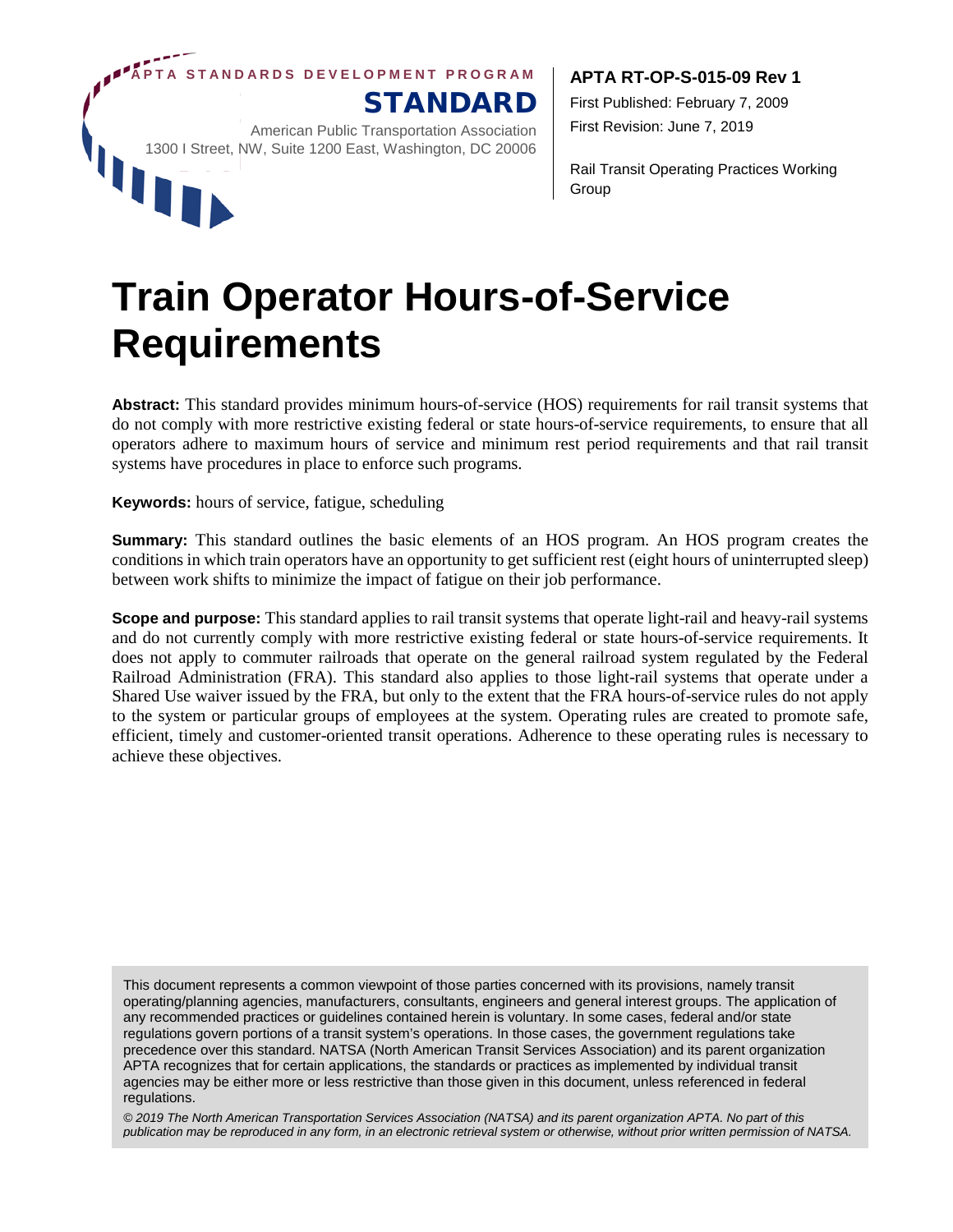**APTA STANDARDS DEVEL OPMENT PROGRAM**

STANDARD

American Public Transportation Association 1300 I Street, NW, Suite 1200 East, Washington, DC 20006

#### **APTA RT-OP-S-015-09 Rev 1**

First Published: February 7, 2009 First Revision: June 7, 2019

Rail Transit Operating Practices Working Group

# **Train Operator Hours-of-Service Requirements**

**Abstract:** This standard provides minimum hours-of-service (HOS) requirements for rail transit systems that do not comply with more restrictive existing federal or state hours-of-service requirements, to ensure that all operators adhere to maximum hours of service and minimum rest period requirements and that rail transit systems have procedures in place to enforce such programs.

**Keywords:** hours of service, fatigue, scheduling

W

**Summary:** This standard outlines the basic elements of an HOS program. An HOS program creates the conditions in which train operators have an opportunity to get sufficient rest (eight hours of uninterrupted sleep) between work shifts to minimize the impact of fatigue on their job performance.

**Scope and purpose:** This standard applies to rail transit systems that operate light-rail and heavy-rail systems and do not currently comply with more restrictive existing federal or state hours-of-service requirements. It does not apply to commuter railroads that operate on the general railroad system regulated by the Federal Railroad Administration (FRA). This standard also applies to those light-rail systems that operate under a Shared Use waiver issued by the FRA, but only to the extent that the FRA hours-of-service rules do not apply to the system or particular groups of employees at the system. Operating rules are created to promote safe, efficient, timely and customer-oriented transit operations. Adherence to these operating rules is necessary to achieve these objectives.

This document represents a common viewpoint of those parties concerned with its provisions, namely transit operating/planning agencies, manufacturers, consultants, engineers and general interest groups. The application of any recommended practices or guidelines contained herein is voluntary. In some cases, federal and/or state regulations govern portions of a transit system's operations. In those cases, the government regulations take precedence over this standard. NATSA (North American Transit Services Association) and its parent organization APTA recognizes that for certain applications, the standards or practices as implemented by individual transit agencies may be either more or less restrictive than those given in this document, unless referenced in federal regulations.

*© 2019 The North American Transportation Services Association (NATSA) and its parent organization APTA. No part of this publication may be reproduced in any form, in an electronic retrieval system or otherwise, without prior written permission of NATSA.*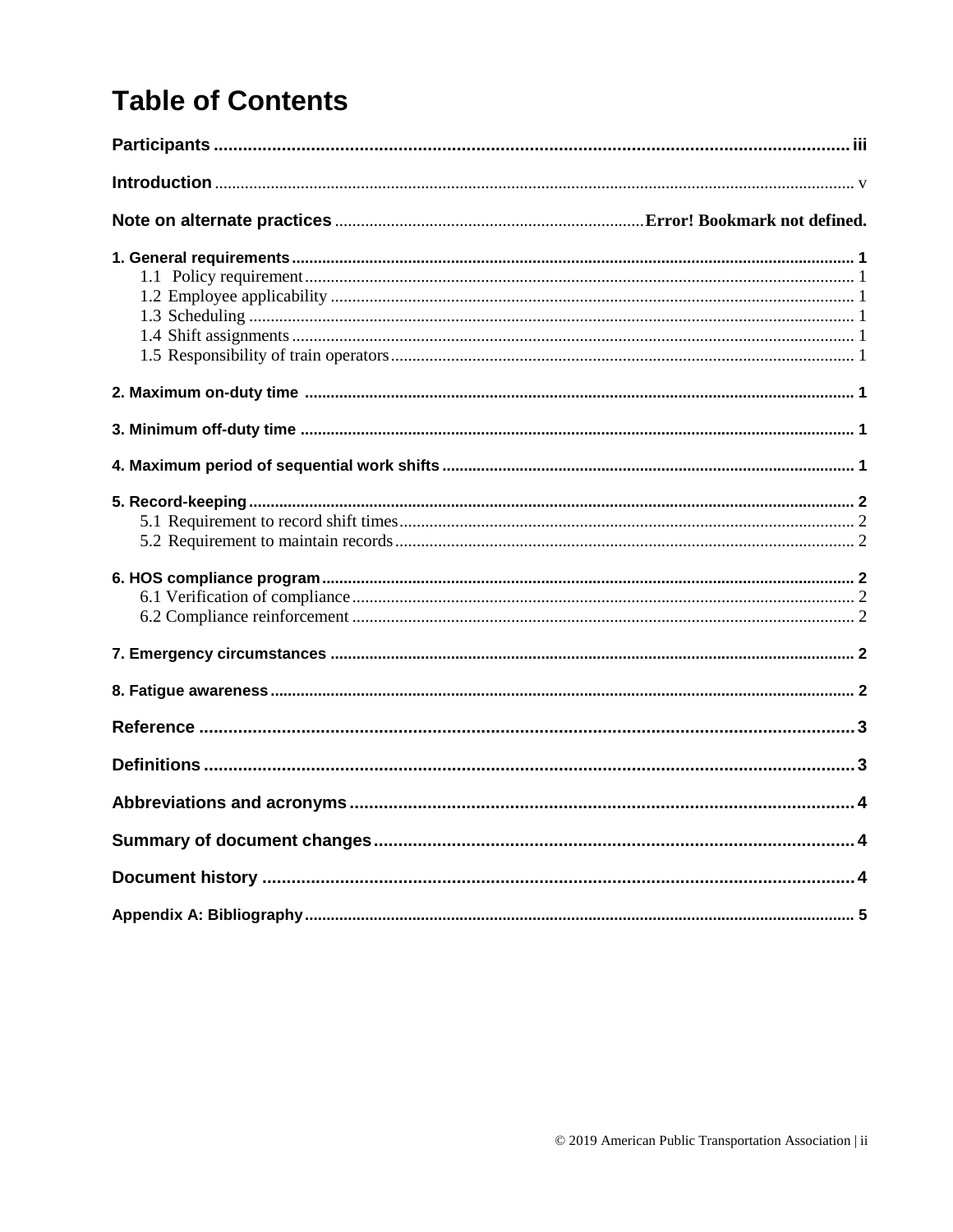## **Table of Contents**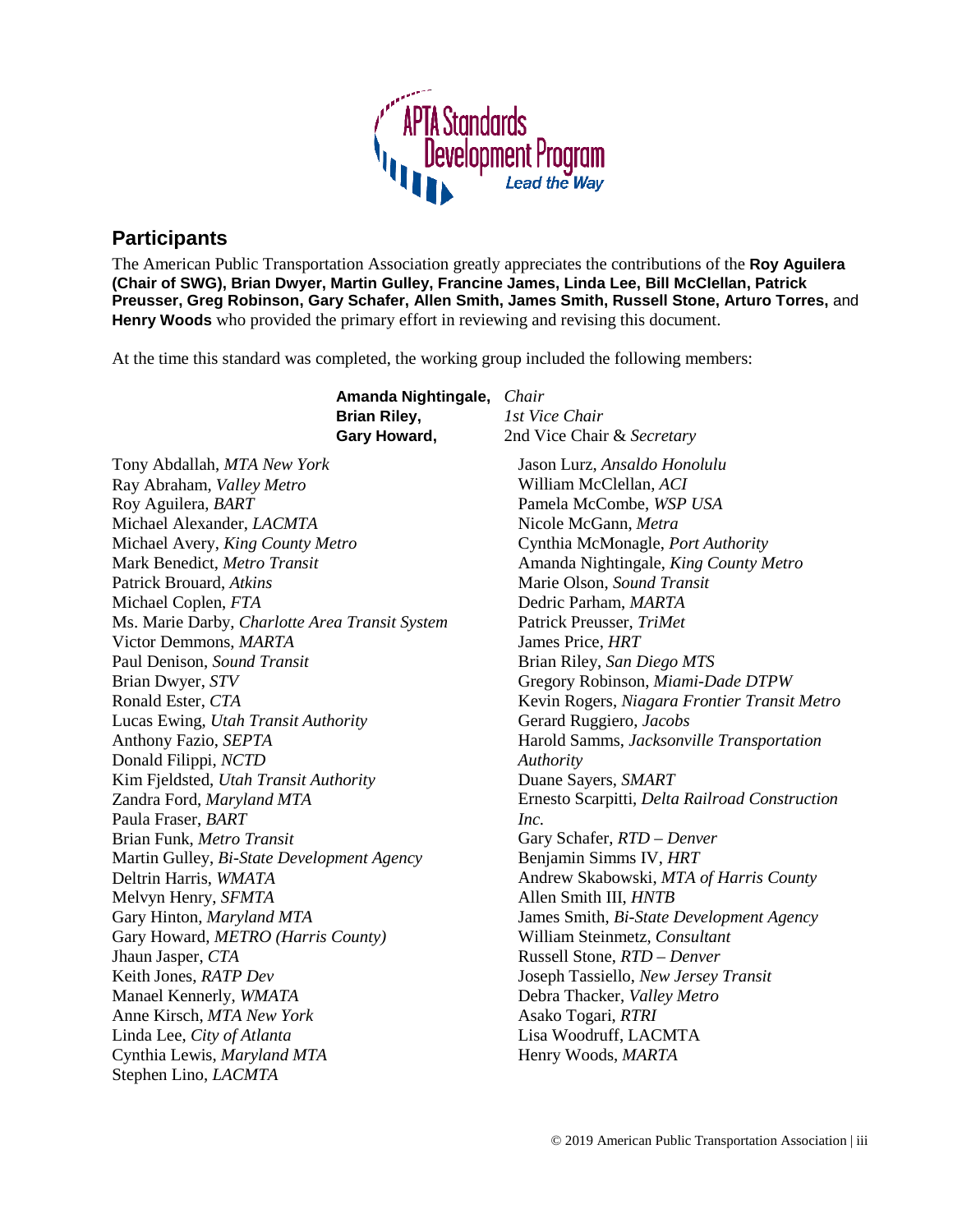

## <span id="page-2-0"></span>**Participants**

The American Public Transportation Association greatly appreciates the contributions of the **Roy Aguilera (Chair of SWG), Brian Dwyer, Martin Gulley, Francine James, Linda Lee, Bill McClellan, Patrick Preusser, Greg Robinson, Gary Schafer, Allen Smith, James Smith, Russell Stone, Arturo Torres,** and **Henry Woods** who provided the primary effort in reviewing and revising this document.

At the time this standard was completed, the working group included the following members:

|                                                | Amanda Nightingale, Chair |                                                |
|------------------------------------------------|---------------------------|------------------------------------------------|
|                                                | <b>Brian Riley,</b>       | 1st Vice Chair                                 |
|                                                | Gary Howard,              | 2nd Vice Chair & Secretary                     |
| Tony Abdallah, MTA New York                    |                           | Jason Lurz, Ansaldo Honolulu                   |
| Ray Abraham, Valley Metro                      |                           | William McClellan, ACI                         |
| Roy Aguilera, BART                             |                           | Pamela McCombe, WSP USA                        |
| Michael Alexander, LACMTA                      |                           | Nicole McGann, Metra                           |
| Michael Avery, King County Metro               |                           | Cynthia McMonagle, Port Authority              |
| Mark Benedict, Metro Transit                   |                           | Amanda Nightingale, King County Metro          |
| Patrick Brouard, Atkins                        |                           | Marie Olson, Sound Transit                     |
| Michael Coplen, FTA                            |                           | Dedric Parham, MARTA                           |
| Ms. Marie Darby, Charlotte Area Transit System |                           | Patrick Preusser, TriMet                       |
| Victor Demmons, MARTA                          |                           | James Price, HRT                               |
| Paul Denison, Sound Transit                    |                           | Brian Riley, San Diego MTS                     |
| Brian Dwyer, STV                               |                           | Gregory Robinson, Miami-Dade DTPW              |
| Ronald Ester, CTA                              |                           | Kevin Rogers, Niagara Frontier Transit Metro   |
| Lucas Ewing, Utah Transit Authority            |                           | Gerard Ruggiero, Jacobs                        |
| Anthony Fazio, SEPTA                           |                           | Harold Samms, Jacksonville Transportation      |
| Donald Filippi, NCTD                           |                           | Authority                                      |
| Kim Fjeldsted, Utah Transit Authority          |                           | Duane Sayers, SMART                            |
| Zandra Ford, Maryland MTA                      |                           | Ernesto Scarpitti, Delta Railroad Construction |
| Paula Fraser, BART                             |                           | Inc.                                           |
| Brian Funk, Metro Transit                      |                           | Gary Schafer, RTD - Denver                     |
| Martin Gulley, Bi-State Development Agency     |                           | Benjamin Simms IV, HRT                         |
| Deltrin Harris, WMATA                          |                           | Andrew Skabowski, MTA of Harris County         |
| Melvyn Henry, SFMTA                            |                           | Allen Smith III, HNTB                          |
| Gary Hinton, Maryland MTA                      |                           | James Smith, Bi-State Development Agency       |
| Gary Howard, METRO (Harris County)             |                           | William Steinmetz, Consultant                  |
| Jhaun Jasper, CTA                              |                           | Russell Stone, RTD - Denver                    |
| Keith Jones, RATP Dev                          |                           | Joseph Tassiello, New Jersey Transit           |
| Manael Kennerly, WMATA                         |                           | Debra Thacker, Valley Metro                    |
| Anne Kirsch, MTA New York                      |                           | Asako Togari, RTRI                             |
| Linda Lee, City of Atlanta                     |                           | Lisa Woodruff, LACMTA                          |
| Cynthia Lewis, Maryland MTA                    |                           | Henry Woods, MARTA                             |
| Stephen Lino, LACMTA                           |                           |                                                |
|                                                |                           |                                                |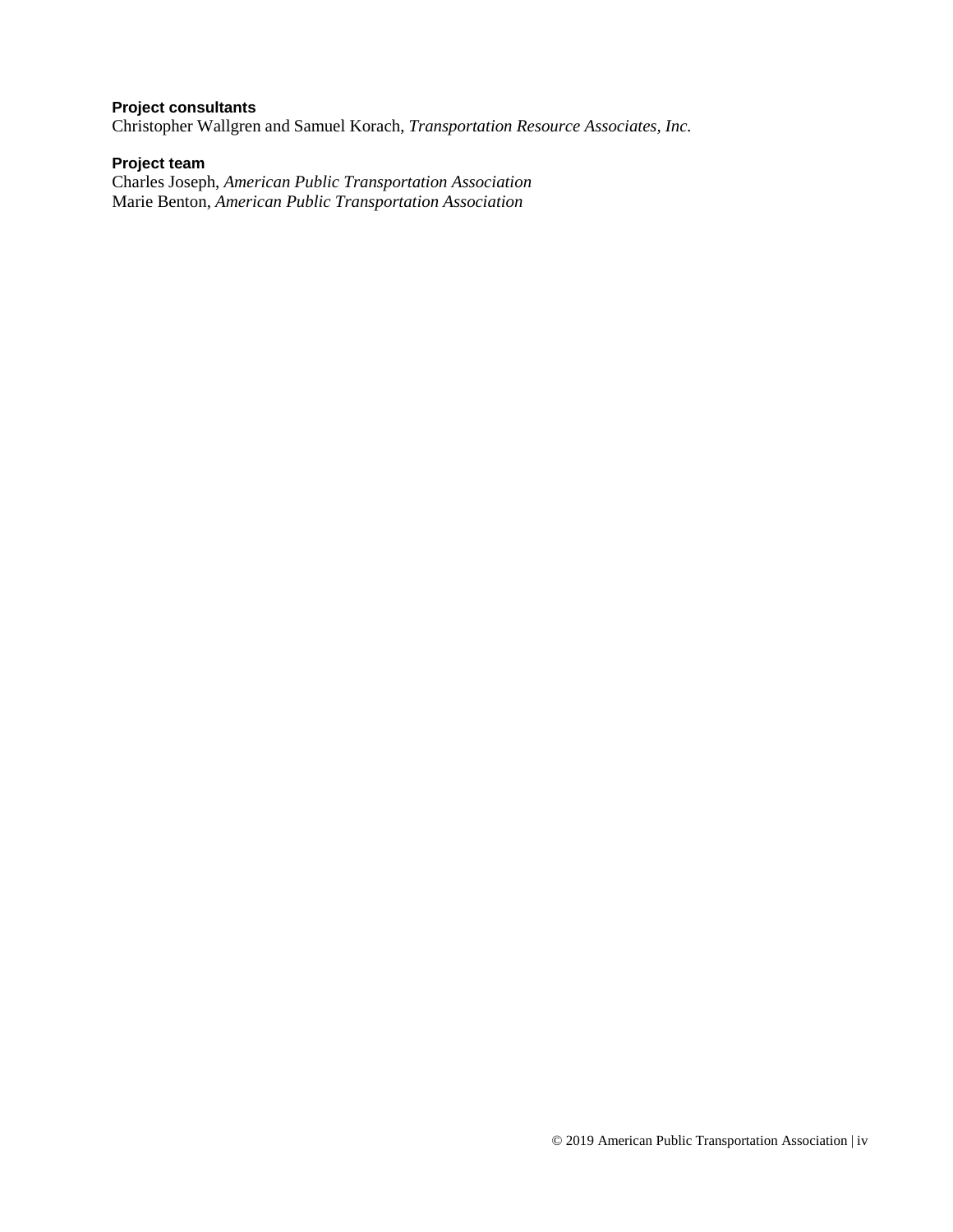#### **Project consultants**

Christopher Wallgren and Samuel Korach, *Transportation Resource Associates, Inc.*

#### **Project team**

Charles Joseph, *American Public Transportation Association* Marie Benton, *American Public Transportation Association*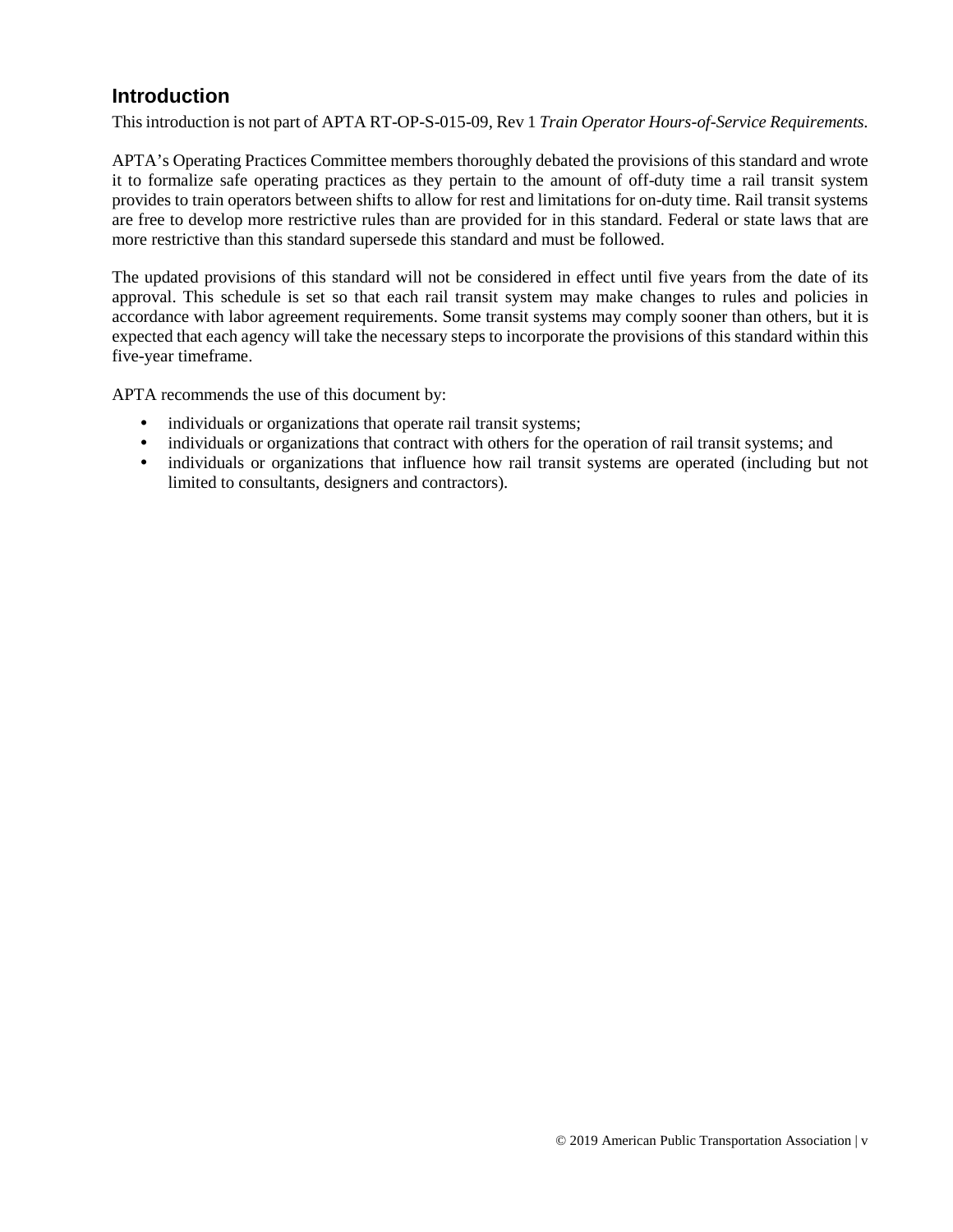## <span id="page-4-0"></span>**Introduction**

This introduction is not part of APTA RT-OP-S-015-09, Rev 1 *Train Operator Hours-of-Service Requirements.*

APTA's Operating Practices Committee members thoroughly debated the provisions of this standard and wrote it to formalize safe operating practices as they pertain to the amount of off-duty time a rail transit system provides to train operators between shifts to allow for rest and limitations for on-duty time. Rail transit systems are free to develop more restrictive rules than are provided for in this standard. Federal or state laws that are more restrictive than this standard supersede this standard and must be followed.

The updated provisions of this standard will not be considered in effect until five years from the date of its approval. This schedule is set so that each rail transit system may make changes to rules and policies in accordance with labor agreement requirements. Some transit systems may comply sooner than others, but it is expected that each agency will take the necessary steps to incorporate the provisions of this standard within this five-year timeframe.

APTA recommends the use of this document by:

- individuals or organizations that operate rail transit systems;
- individuals or organizations that contract with others for the operation of rail transit systems; and
- individuals or organizations that influence how rail transit systems are operated (including but not limited to consultants, designers and contractors).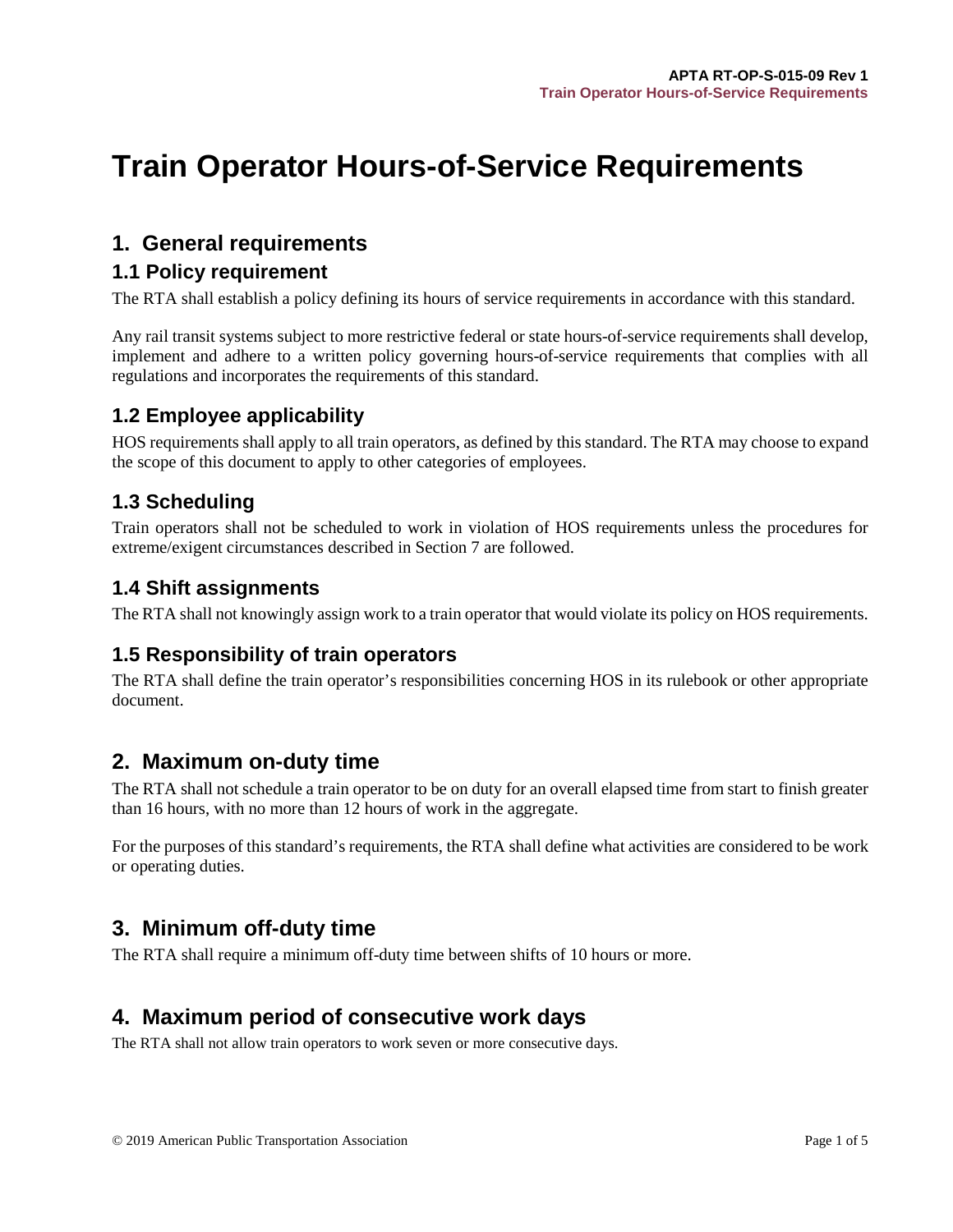## **Train Operator Hours-of-Service Requirements**

## <span id="page-5-0"></span>**1. General requirements**

#### <span id="page-5-1"></span>**1.1 Policy requirement**

The RTA shall establish a policy defining its hours of service requirements in accordance with this standard.

Any rail transit systems subject to more restrictive federal or state hours-of-service requirements shall develop, implement and adhere to a written policy governing hours-of-service requirements that complies with all regulations and incorporates the requirements of this standard.

## <span id="page-5-2"></span>**1.2 Employee applicability**

HOS requirements shall apply to all train operators, as defined by this standard. The RTA may choose to expand the scope of this document to apply to other categories of employees.

## <span id="page-5-3"></span>**1.3 Scheduling**

Train operators shall not be scheduled to work in violation of HOS requirements unless the procedures for extreme/exigent circumstances described in Section 7 are followed.

### <span id="page-5-4"></span>**1.4 Shift assignments**

The RTA shall not knowingly assign work to a train operator that would violate its policy on HOS requirements.

## <span id="page-5-5"></span>**1.5 Responsibility of train operators**

The RTA shall define the train operator's responsibilities concerning HOS in its rulebook or other appropriate document.

## <span id="page-5-6"></span>**2. Maximum on-duty time**

The RTA shall not schedule a train operator to be on duty for an overall elapsed time from start to finish greater than 16 hours, with no more than 12 hours of work in the aggregate.

For the purposes of this standard's requirements, the RTA shall define what activities are considered to be work or operating duties.

## <span id="page-5-7"></span>**3. Minimum off-duty time**

The RTA shall require a minimum off-duty time between shifts of 10 hours or more.

## <span id="page-5-8"></span>**4. Maximum period of consecutive work days**

The RTA shall not allow train operators to work seven or more consecutive days.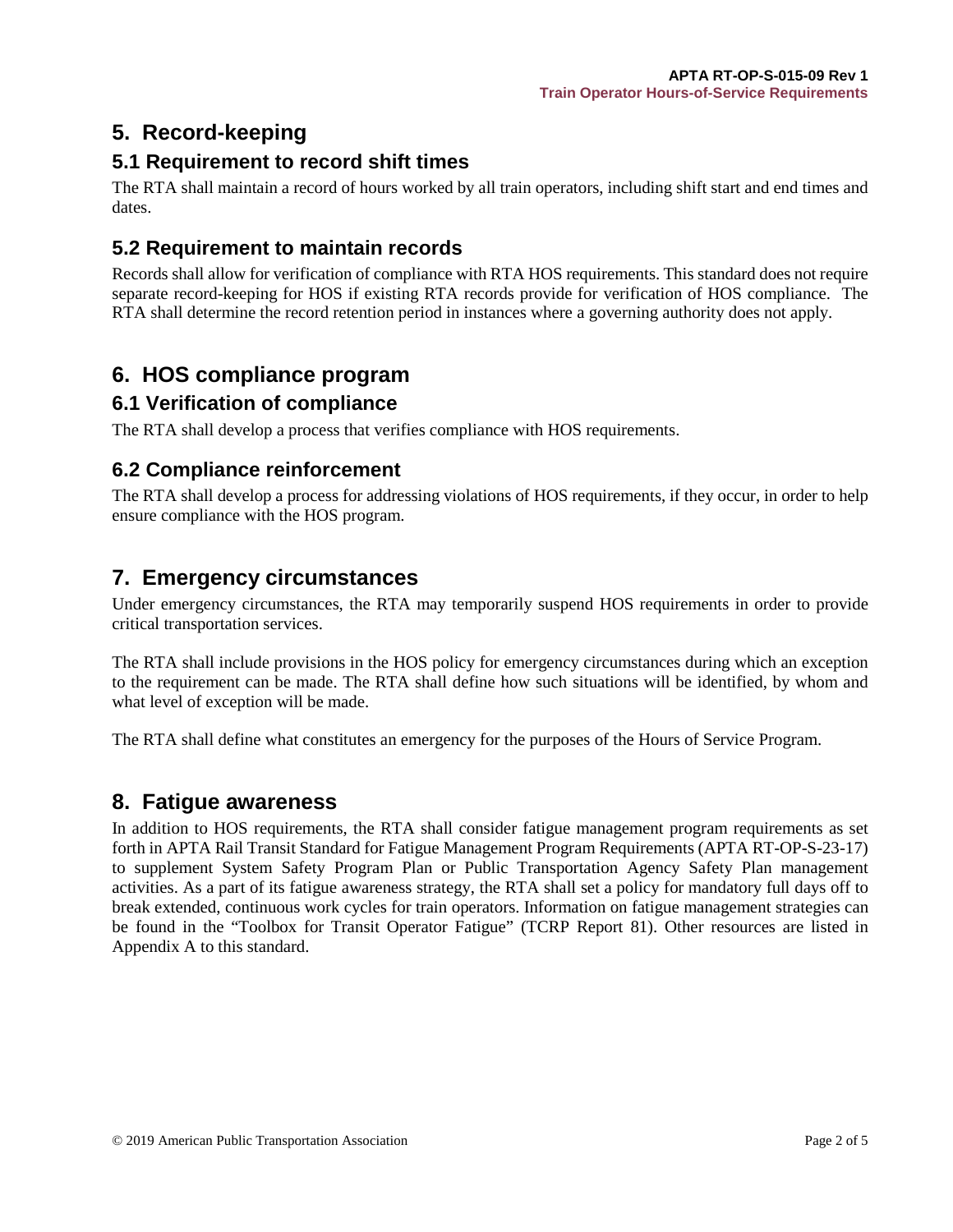## <span id="page-6-0"></span>**5. Record-keeping**

## <span id="page-6-1"></span>**5.1 Requirement to record shift times**

The RTA shall maintain a record of hours worked by all train operators, including shift start and end times and dates.

## <span id="page-6-2"></span>**5.2 Requirement to maintain records**

Records shall allow for verification of compliance with RTA HOS requirements. This standard does not require separate record-keeping for HOS if existing RTA records provide for verification of HOS compliance. The RTA shall determine the record retention period in instances where a governing authority does not apply.

## <span id="page-6-3"></span>**6. HOS compliance program**

### <span id="page-6-4"></span>**6.1 Verification of compliance**

The RTA shall develop a process that verifies compliance with HOS requirements.

### <span id="page-6-5"></span>**6.2 Compliance reinforcement**

The RTA shall develop a process for addressing violations of HOS requirements, if they occur, in order to help ensure compliance with the HOS program.

## <span id="page-6-6"></span>**7. Emergency circumstances**

Under emergency circumstances, the RTA may temporarily suspend HOS requirements in order to provide critical transportation services.

The RTA shall include provisions in the HOS policy for emergency circumstances during which an exception to the requirement can be made. The RTA shall define how such situations will be identified, by whom and what level of exception will be made.

The RTA shall define what constitutes an emergency for the purposes of the Hours of Service Program.

## <span id="page-6-7"></span>**8. Fatigue awareness**

In addition to HOS requirements, the RTA shall consider fatigue management program requirements as set forth in APTA Rail Transit Standard for Fatigue Management Program Requirements (APTA RT-OP-S-23-17) to supplement System Safety Program Plan or Public Transportation Agency Safety Plan management activities. As a part of its fatigue awareness strategy, the RTA shall set a policy for mandatory full days off to break extended, continuous work cycles for train operators. Information on fatigue management strategies can be found in the "Toolbox for Transit Operator Fatigue" (TCRP Report 81). Other resources are listed in Appendix A to this standard.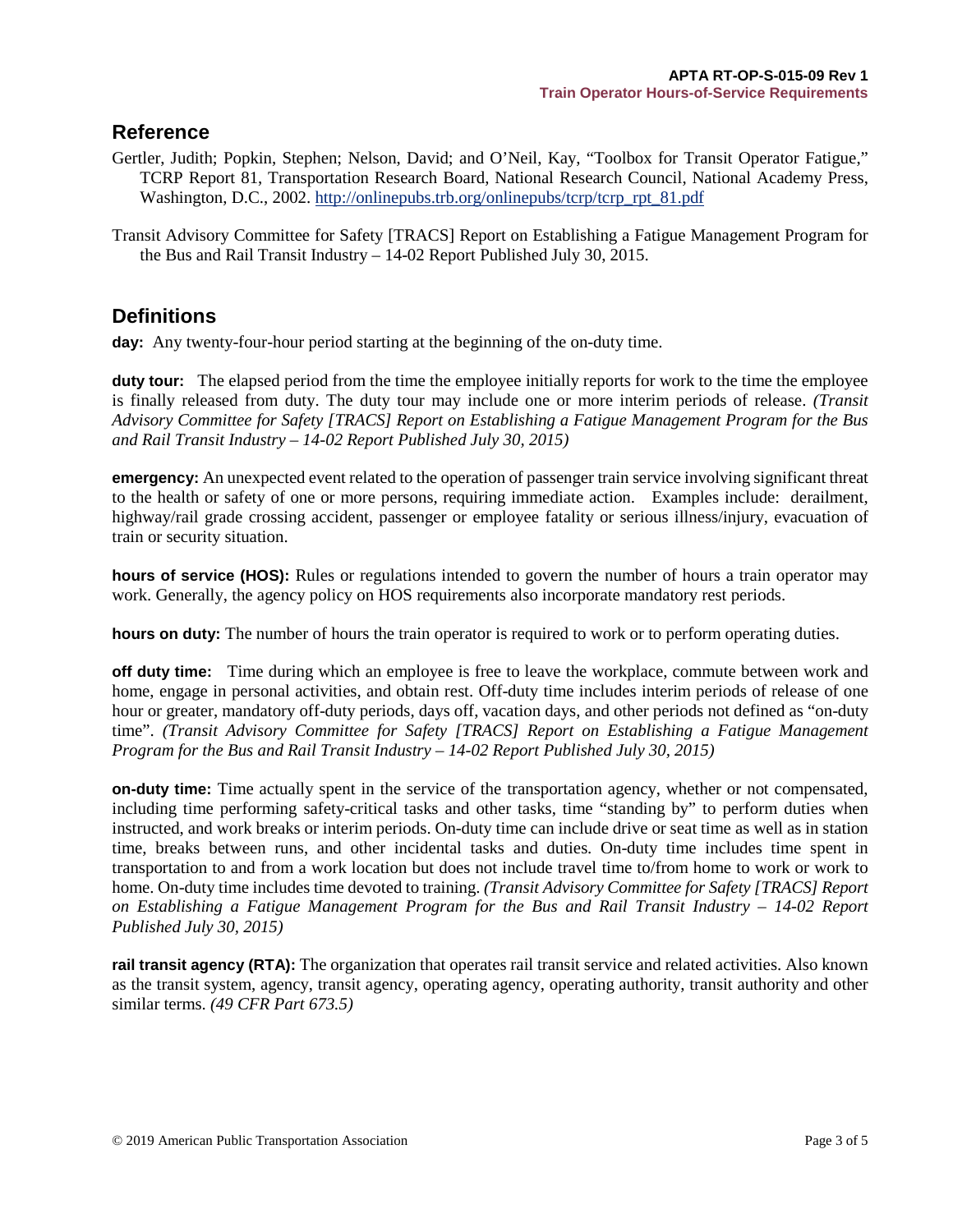### <span id="page-7-0"></span>**Reference**

- Gertler, Judith; Popkin, Stephen; Nelson, David; and O'Neil, Kay, "Toolbox for Transit Operator Fatigue," TCRP Report 81, Transportation Research Board, National Research Council, National Academy Press, Washington, D.C., 2002. [http://onlinepubs.trb.org/onlinepubs/tcrp/tcrp\\_rpt\\_81.pdf](http://onlinepubs.trb.org/onlinepubs/tcrp/tcrp_rpt_81.pdf)
- Transit Advisory Committee for Safety [TRACS] Report on Establishing a Fatigue Management Program for the Bus and Rail Transit Industry – 14-02 Report Published July 30, 2015.

## <span id="page-7-1"></span>**Definitions**

**day:** Any twenty-four-hour period starting at the beginning of the on-duty time.

**duty tour:** The elapsed period from the time the employee initially reports for work to the time the employee is finally released from duty. The duty tour may include one or more interim periods of release. *(Transit Advisory Committee for Safety [TRACS] Report on Establishing a Fatigue Management Program for the Bus and Rail Transit Industry – 14-02 Report Published July 30, 2015)*

**emergency:** An unexpected event related to the operation of passenger train service involving significant threat to the health or safety of one or more persons, requiring immediate action. Examples include: derailment, highway/rail grade crossing accident, passenger or employee fatality or serious illness/injury, evacuation of train or security situation.

**hours of service (HOS):** Rules or regulations intended to govern the number of hours a train operator may work. Generally, the agency policy on HOS requirements also incorporate mandatory rest periods.

**hours on duty:** The number of hours the train operator is required to work or to perform operating duties.

**off duty time:** Time during which an employee is free to leave the workplace, commute between work and home, engage in personal activities, and obtain rest. Off-duty time includes interim periods of release of one hour or greater, mandatory off-duty periods, days off, vacation days, and other periods not defined as "on-duty time". *(Transit Advisory Committee for Safety [TRACS] Report on Establishing a Fatigue Management Program for the Bus and Rail Transit Industry – 14-02 Report Published July 30, 2015)*

**on-duty time:** Time actually spent in the service of the transportation agency, whether or not compensated, including time performing safety-critical tasks and other tasks, time "standing by" to perform duties when instructed, and work breaks or interim periods. On-duty time can include drive or seat time as well as in station time, breaks between runs, and other incidental tasks and duties. On-duty time includes time spent in transportation to and from a work location but does not include travel time to/from home to work or work to home. On-duty time includes time devoted to training. *(Transit Advisory Committee for Safety [TRACS] Report on Establishing a Fatigue Management Program for the Bus and Rail Transit Industry – 14-02 Report Published July 30, 2015)*

**rail transit agency (RTA):** The organization that operates rail transit service and related activities. Also known as the transit system, agency, transit agency, operating agency, operating authority, transit authority and other similar terms. *(49 CFR Part 673.5)*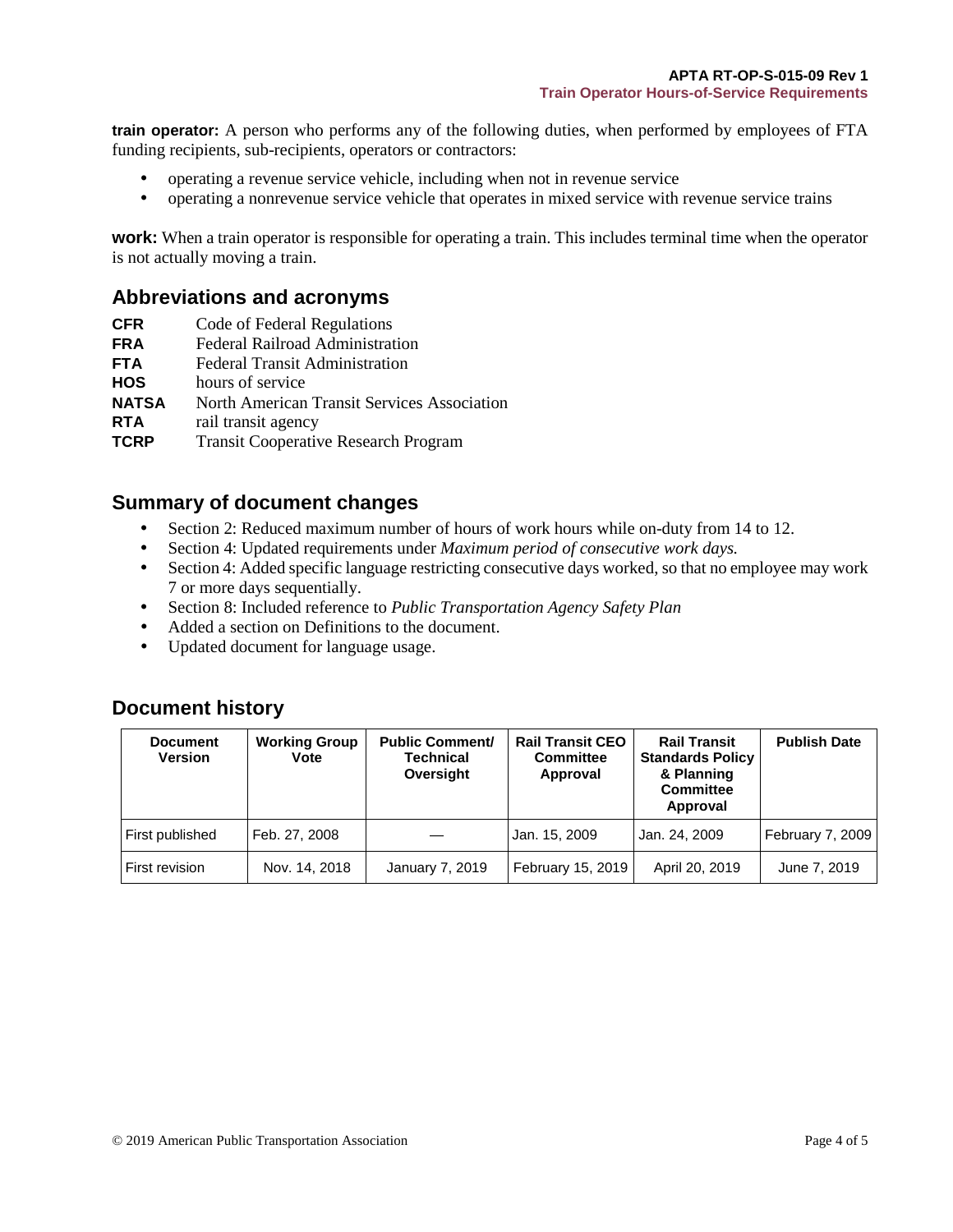**train operator:** A person who performs any of the following duties, when performed by employees of FTA funding recipients, sub-recipients, operators or contractors:

- operating a revenue service vehicle, including when not in revenue service
- operating a nonrevenue service vehicle that operates in mixed service with revenue service trains

**work:** When a train operator is responsible for operating a train. This includes terminal time when the operator is not actually moving a train.

#### <span id="page-8-0"></span>**Abbreviations and acronyms**

- **CFR** Code of Federal Regulations
- **FRA** Federal Railroad Administration
- **FTA** Federal Transit Administration
- **HOS** hours of service
- **NATSA** North American Transit Services Association
- **RTA** rail transit agency
- **TCRP** Transit Cooperative Research Program

#### <span id="page-8-1"></span>**Summary of document changes**

- Section 2: Reduced maximum number of hours of work hours while on-duty from 14 to 12.
- Section 4: Updated requirements under *Maximum period of consecutive work days.*
- Section 4: Added specific language restricting consecutive days worked, so that no employee may work 7 or more days sequentially.
- Section 8: Included reference to *Public Transportation Agency Safety Plan*
- Added a section on Definitions to the document.
- Updated document for language usage.

#### <span id="page-8-2"></span>**Document history**

| <b>Document</b><br><b>Version</b> | <b>Working Group</b><br><b>Vote</b> | <b>Public Comment/</b><br><b>Technical</b><br>Oversight | <b>Rail Transit CEO</b><br><b>Committee</b><br>Approval | <b>Rail Transit</b><br><b>Standards Policy</b><br>& Planning<br><b>Committee</b><br>Approval | <b>Publish Date</b> |
|-----------------------------------|-------------------------------------|---------------------------------------------------------|---------------------------------------------------------|----------------------------------------------------------------------------------------------|---------------------|
| First published                   | Feb. 27, 2008                       |                                                         | Jan. 15, 2009                                           | Jan. 24, 2009                                                                                | February 7, 2009    |
| First revision                    | Nov. 14, 2018                       | January 7, 2019                                         | February 15, 2019                                       | April 20, 2019                                                                               | June 7, 2019        |